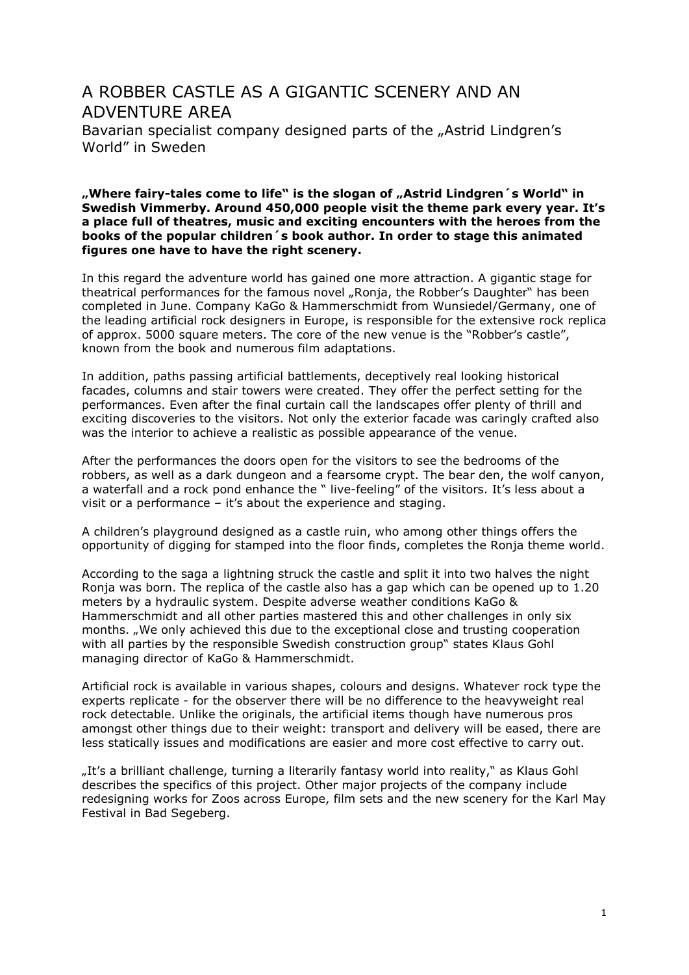## A ROBBER CASTLE AS A GIGANTIC SCENERY AND AN ADVENTURE AREA Bavarian specialist company designed parts of the "Astrid Lindgren's World" in Sweden

**"Where fairy-tales come to life" is the slogan of "Astrid Lindgren´s World" in Swedish Vimmerby. Around 450,000 people visit the theme park every year. It's a place full of theatres, music and exciting encounters with the heroes from the books of the popular children´s book author. In order to stage this animated figures one have to have the right scenery.** 

In this regard the adventure world has gained one more attraction. A gigantic stage for theatrical performances for the famous novel "Ronja, the Robber's Daughter" has been completed in June. Company KaGo & Hammerschmidt from Wunsiedel/Germany, one of the leading artificial rock designers in Europe, is responsible for the extensive rock replica of approx. 5000 square meters. The core of the new venue is the "Robber's castle", known from the book and numerous film adaptations.

In addition, paths passing artificial battlements, deceptively real looking historical facades, columns and stair towers were created. They offer the perfect setting for the performances. Even after the final curtain call the landscapes offer plenty of thrill and exciting discoveries to the visitors. Not only the exterior facade was caringly crafted also was the interior to achieve a realistic as possible appearance of the venue.

After the performances the doors open for the visitors to see the bedrooms of the robbers, as well as a dark dungeon and a fearsome crypt. The bear den, the wolf canyon, a waterfall and a rock pond enhance the " live-feeling" of the visitors. It's less about a visit or a performance – it's about the experience and staging.

A children's playground designed as a castle ruin, who among other things offers the opportunity of digging for stamped into the floor finds, completes the Ronja theme world.

According to the saga a lightning struck the castle and split it into two halves the night Ronja was born. The replica of the castle also has a gap which can be opened up to 1.20 meters by a hydraulic system. Despite adverse weather conditions KaGo & Hammerschmidt and all other parties mastered this and other challenges in only six months. "We only achieved this due to the exceptional close and trusting cooperation with all parties by the responsible Swedish construction group" states Klaus Gohl managing director of KaGo & Hammerschmidt.

Artificial rock is available in various shapes, colours and designs. Whatever rock type the experts replicate - for the observer there will be no difference to the heavyweight real rock detectable. Unlike the originals, the artificial items though have numerous pros amongst other things due to their weight: transport and delivery will be eased, there are less statically issues and modifications are easier and more cost effective to carry out.

"It's a brilliant challenge, turning a literarily fantasy world into reality," as Klaus Gohl describes the specifics of this project. Other major projects of the company include redesigning works for Zoos across Europe, film sets and the new scenery for the Karl May Festival in Bad Segeberg.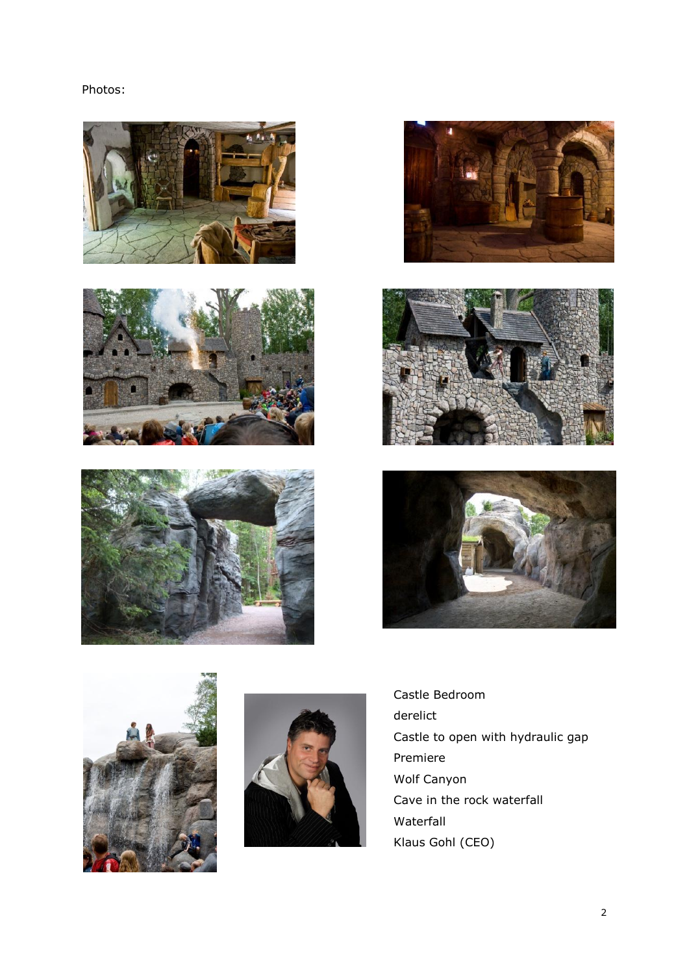Photos:

















Castle Bedroom derelict Castle to open with hydraulic gap Premiere Wolf Canyon Cave in the rock waterfall Waterfall Klaus Gohl (CEO)